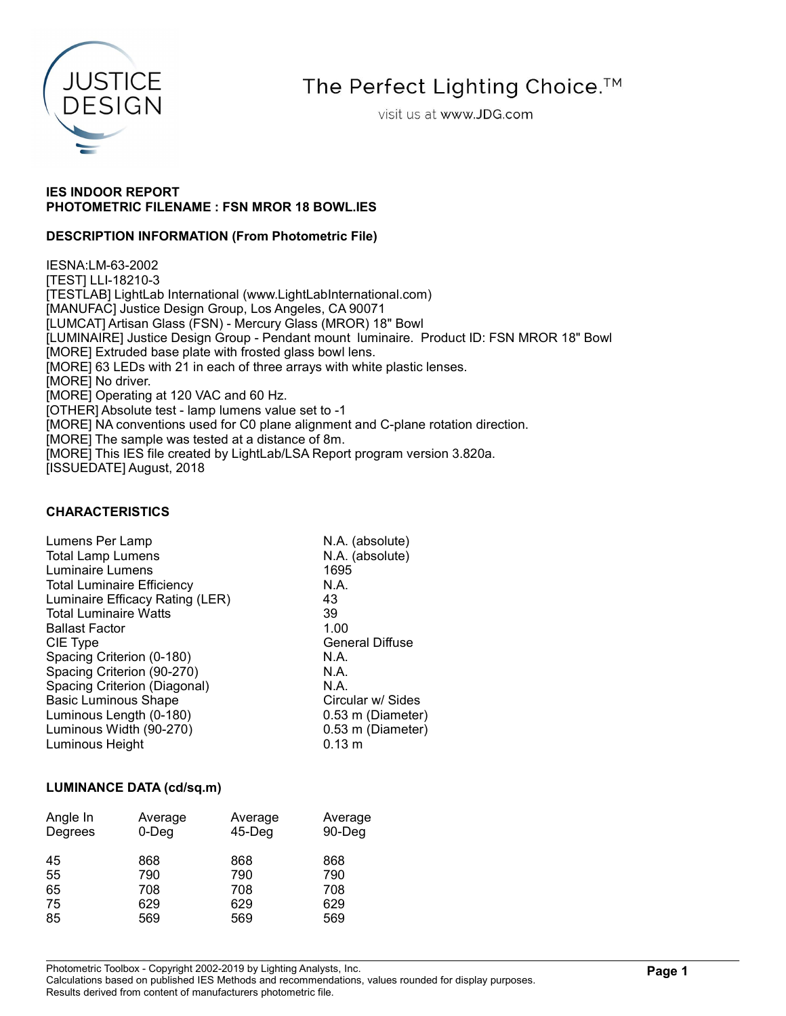

The Perfect Lighting Choice.<sup>™</sup>

visit us at www.JDG.com

## IES INDOOR REPORT PHOTOMETRIC FILENAME : FSN MROR 18 BOWL.IES

### DESCRIPTION INFORMATION (From Photometric File)

IESNA:LM-63-2002 [TEST] LLI-18210-3 [TESTLAB] LightLab International (www.LightLabInternational.com) [MANUFAC] Justice Design Group, Los Angeles, CA 90071 [LUMCAT] Artisan Glass (FSN) - Mercury Glass (MROR) 18" Bowl [LUMINAIRE] Justice Design Group - Pendant mount luminaire. Product ID: FSN MROR 18" Bowl [MORE] Extruded base plate with frosted glass bowl lens. [MORE] 63 LEDs with 21 in each of three arrays with white plastic lenses. [MORE] No driver. [MORE] Operating at 120 VAC and 60 Hz. [OTHER] Absolute test - lamp lumens value set to -1 [MORE] NA conventions used for C0 plane alignment and C-plane rotation direction. [MORE] The sample was tested at a distance of 8m. [MORE] This IES file created by LightLab/LSA Report program version 3.820a. [ISSUEDATE] August, 2018

## CHARACTERISTICS

| Lumens Per Lamp                   | N.A. (absolute)        |
|-----------------------------------|------------------------|
| <b>Total Lamp Lumens</b>          | N.A. (absolute)        |
| Luminaire Lumens                  | 1695                   |
| <b>Total Luminaire Efficiency</b> | N.A.                   |
| Luminaire Efficacy Rating (LER)   | 43                     |
| <b>Total Luminaire Watts</b>      | 39                     |
| <b>Ballast Factor</b>             | 1.00                   |
| CIE Type                          | <b>General Diffuse</b> |
| Spacing Criterion (0-180)         | N.A.                   |
| Spacing Criterion (90-270)        | N.A.                   |
| Spacing Criterion (Diagonal)      | N.A.                   |
| <b>Basic Luminous Shape</b>       | Circular w/ Sides      |
| Luminous Length (0-180)           | 0.53 m (Diameter)      |
| Luminous Width (90-270)           | 0.53 m (Diameter)      |
| Luminous Height                   | $0.13 \; m$            |

#### LUMINANCE DATA (cd/sq.m)

| Angle In<br>Degrees | Average<br>$0$ -Deg | Average<br>$45$ -Deg | Average<br>90-Deg |
|---------------------|---------------------|----------------------|-------------------|
| 45                  | 868                 | 868                  | 868               |
| 55                  | 790                 | 790                  | 790               |
| 65                  | 708                 | 708                  | 708               |
| 75                  | 629                 | 629                  | 629               |
| 85                  | 569                 | 569                  | 569               |

Photometric Toolbox - Copyright 2002-2019 by Lighting Analysts, Inc.

Calculations based on published IES Methods and recommendations, values rounded for display purposes. Results derived from content of manufacturers photometric file.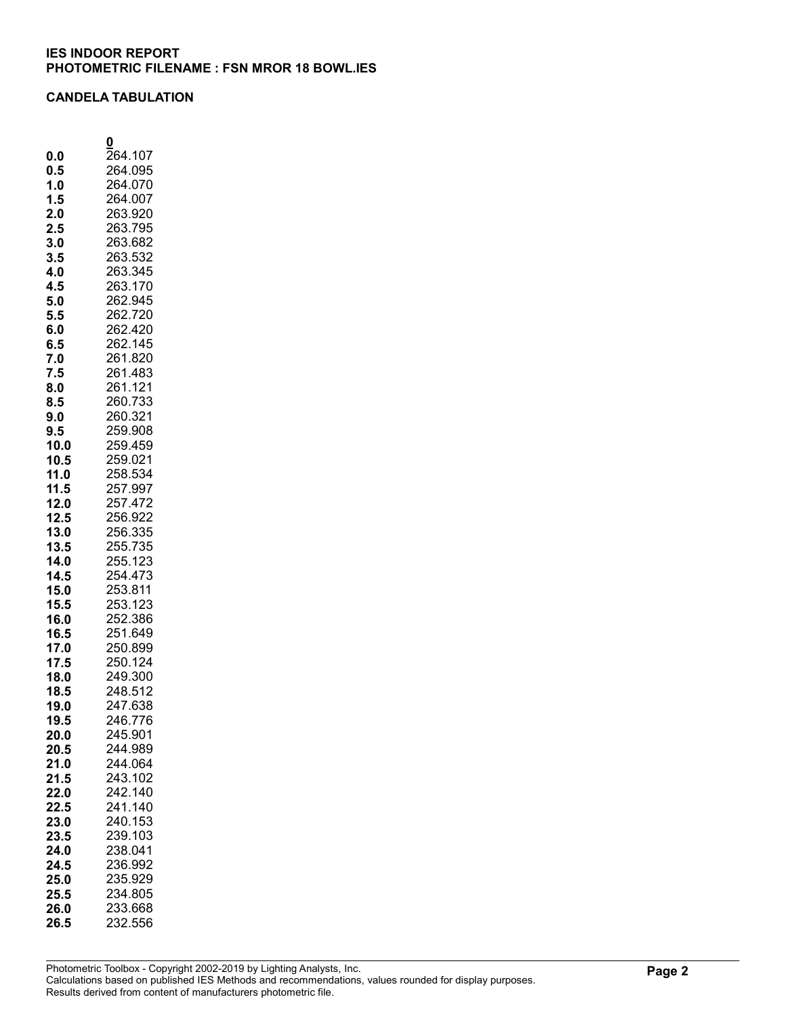#### CANDELA TABULATION

|      | 0       |
|------|---------|
| 0.0  | 264.107 |
| 0.5  | 264.095 |
| 1.0  | 264.070 |
| 1.5  | 264.007 |
| 2.0  | 263.920 |
| 2.5  | 263.795 |
| 3.0  | 263.682 |
| 3.5  | 263.532 |
| 4.0  | 263.345 |
| 4.5  | 263.170 |
| 5.0  | 262.945 |
| 5.5  | 262.720 |
| 6.0  | 262.420 |
|      | 262.145 |
| 6.5  |         |
| 7.0  | 261.820 |
| 7.5  | 261.483 |
| 8.0  | 261.121 |
| 8.5  | 260.733 |
| 9.0  | 260.321 |
| 9.5  | 259.908 |
| 10.0 | 259.459 |
| 10.5 | 259.021 |
| 11.0 | 258.534 |
| 11.5 | 257.997 |
| 12.0 | 257.472 |
| 12.5 | 256.922 |
| 13.0 | 256.335 |
| 13.5 | 255.735 |
| 14.0 | 255.123 |
| 14.5 | 254.473 |
| 15.0 | 253.811 |
| 15.5 | 253.123 |
| 16.0 | 252.386 |
| 16.5 | 251.649 |
| 17.0 | 250.899 |
| 17.5 | 250.124 |
| 18.0 | 249.300 |
| 18.5 | 248.512 |
| 19.0 | 247.638 |
| 19.5 | 246.776 |
| 20.0 | 245.901 |
| 20.5 | 244.989 |
| 21.0 | 244.064 |
| 21.5 | 243.102 |
| 22.0 | 242.140 |
| 22.5 | 241.140 |
| 23.0 | 240.153 |
| 23.5 | 239.103 |
| 24.0 | 238.041 |
| 24.5 | 236.992 |
| 25.0 | 235.929 |
| 25.5 | 234.805 |
| 26.0 | 233.668 |
|      |         |
| 26.5 | 232.556 |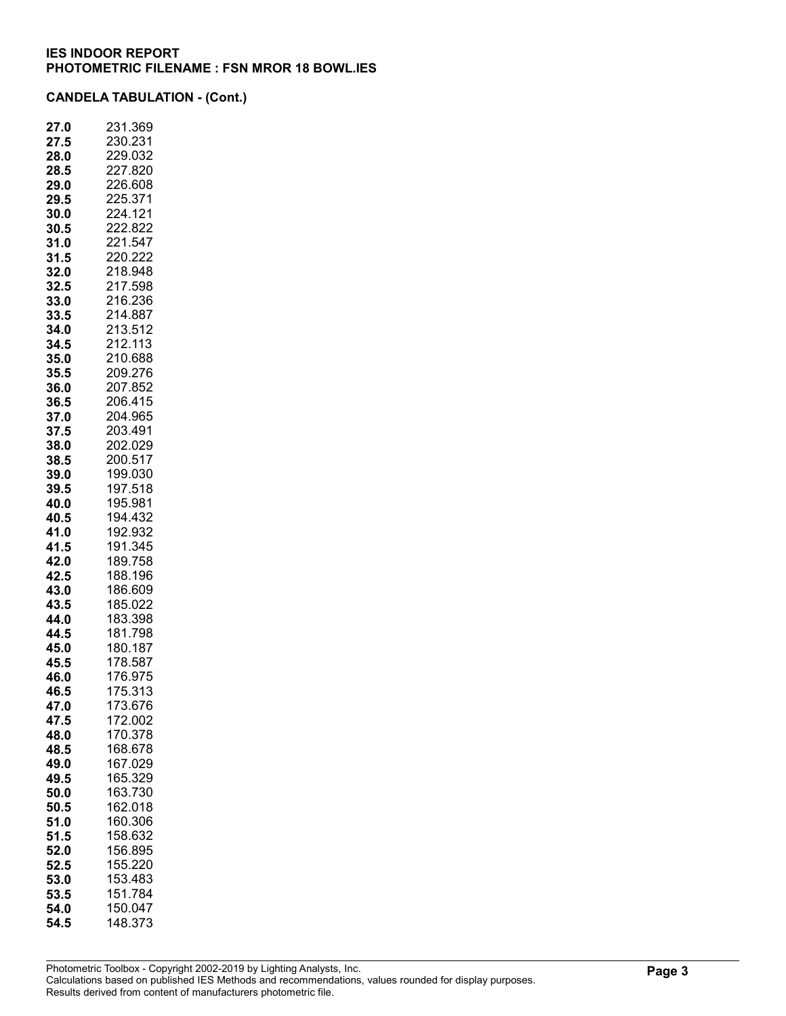| 27.<br>.0 | 231.369         |
|-----------|-----------------|
| 27.5      | 230.231         |
| 28.0      | 229.032         |
| 28.5      | 227.820         |
| 29.0      | 226.608         |
| 29.5      | 225.371         |
| 30.0      | 224.121         |
| 30.5      | 222.822         |
| 31.0      | 221.547         |
| 31.5      | 220.222         |
| 32.0      | 218.948         |
| 32.5      | 217.598         |
| 33.0      | 216.236         |
| 33.5      | 214.887         |
| 34.0      | 213.512         |
| 34.5      | 212.113         |
| 35.0      | 210.688         |
| 35.5      | 209.276         |
| 36.0      | 207.852         |
| 36.5      | 206.415         |
| 37.0      | 204.965         |
| 37.5      | 203.491         |
| 38.0      | 202.029         |
| 38.5      | 200.517         |
| 39.0      | 199.030         |
| 39.5      | 197.518         |
| 40.0      | 195.981         |
| 40.5      | 194.432         |
| 41.0      | 192.932         |
| 41.5      | 191.345         |
| 42.0      | 189.758         |
| 42.5      | 188.196         |
| 43.0      | 186.609         |
| 43.5      | 185.022         |
| 44.0      | 183.398         |
| 44.5      | 181.798         |
| 45.0      | 180.187         |
| 45.5      | 178.587         |
| 46.0      | 176.975         |
| 46.5      | 75.31<br>1<br>3 |
| 47.0      | 173.676         |
| 47.5      | 172.002         |
| 48.0      | 170.378         |
| 48.5      | 168.678         |
| 49.0      | 167.029         |
| 49.5      | 165.329         |
| 50.0      | 163.730         |
| 50.5      | 162.018         |
| 51.0      | 160.306         |
| 51.5      | 158.632         |
| 52.0      | 156.895         |
| 52.5      | 155.220         |
| 53.0      | 153.483         |
| 53.5      | 151.784         |
| 54.0      | 150.047         |
| 54.5      | 148.373         |
|           |                 |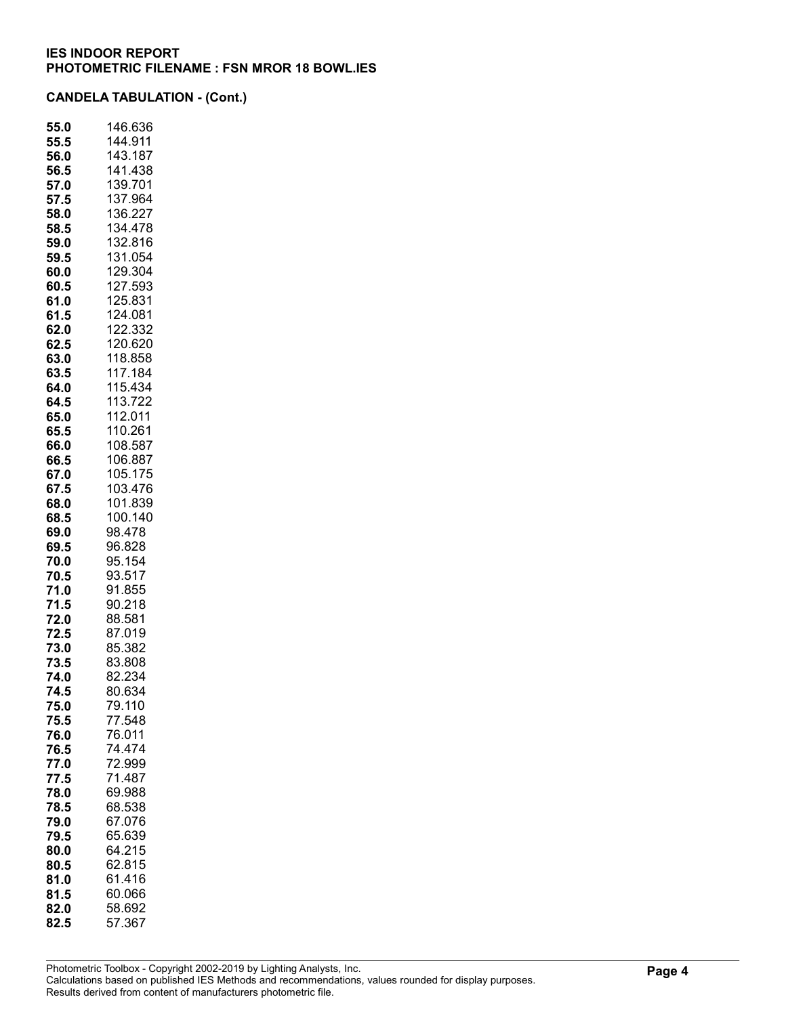| 55.0         | 146.636            |
|--------------|--------------------|
| 55.5         | 144.911            |
| 56.0         | 143.187            |
| 56.5         | 141.438            |
| 57.0         | 139.701            |
| 57.5         | 137.964            |
| 58.0         | 136.227            |
| 58.5         | 34.478<br>1        |
| 59.0         | 132.816            |
| 59.5         | 131.054            |
| 60.0         | 129.304            |
| 60.5         | 127.593            |
| 61.0         | 125.831            |
| 61.5         | 124.081            |
| 62.0         | 122.332            |
| 62.5         | 120.620            |
| 63.0         | 118.858            |
| 63.5         | 117.184            |
| 64.0         | 115.434            |
| 64.5         | 113.722            |
| 65.0         | 112.011            |
| 65.5         | 110.261            |
| 66.0         | 108.587<br>106.887 |
| 66.5<br>67.0 | 105.175            |
|              |                    |
| 67.5         | 103.476<br>101.839 |
| 68.0         |                    |
| 68.5         | 100.140            |
| 69.0<br>69.5 | 98.478<br>96.828   |
| 70.0         | 95.154             |
| 70.5         | 93.517             |
| 71.0         | 91.855             |
| 71.5         | 90.218             |
| 72.0         | 88.581             |
| 72.5         | 87.019             |
| 73.0         | 85.382             |
| 73.5         | 83.808             |
| 74.0         | 82.234             |
| 74.5         | 80.634             |
| 75.0         | 79.110             |
| 75.5         | 77.548             |
| 76.0         | 76.011             |
| 76.5         | 74.474             |
| 77.0         | 72.999             |
| 77.5         | 71.487             |
| 78.0         | 69.988             |
| 78.5         | 68.538             |
| 79.0         | 67.076             |
| 79.5         | 65.639             |
| 80.0         | 64.215             |
| 80.5         | 62.815             |
| 81.0         | 61.416             |
| 81.5         | 60.066             |
| 82.0         | 58.692             |
| 82.5         | 57.367             |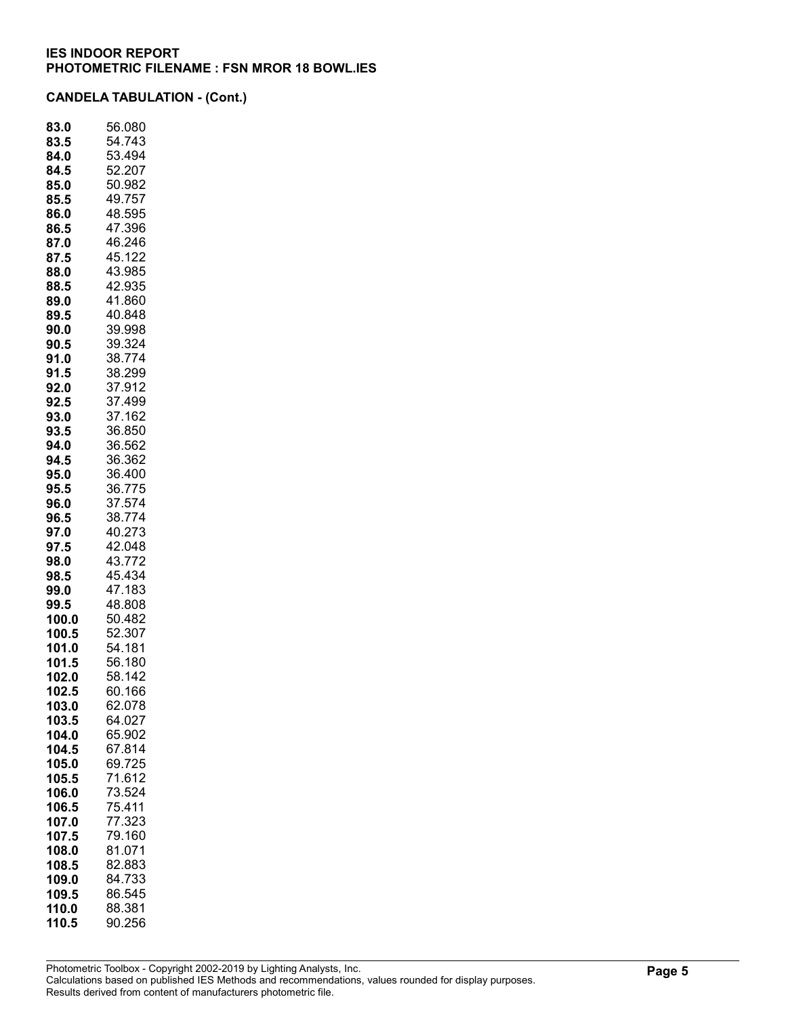| 56.080 |
|--------|
| 54.743 |
| 53.494 |
| 52.207 |
| 50.982 |
| 49.757 |
| 48.595 |
| 47.396 |
| 46.246 |
| 45.122 |
| 43.985 |
|        |
| 42.935 |
| 41.860 |
| 40.848 |
| 39.998 |
| 39.324 |
| 38.774 |
| 38.299 |
| 37.912 |
| 37.499 |
| 37.162 |
| 36.850 |
| 36.562 |
| 36.362 |
| 36.400 |
|        |
| 36.775 |
| 37.574 |
| 38.774 |
| 40.273 |
| 42.048 |
| 43.772 |
| 45.434 |
| 47.183 |
| 48.808 |
| 50.482 |
| 52.307 |
| 54.181 |
| 56.180 |
|        |
| 58.142 |
| 60.166 |
| 62.078 |
| 64.027 |
| 65.902 |
| 67.814 |
| 69.725 |
| 71.612 |
| 73.524 |
| 75.411 |
| 77.323 |
| 79.160 |
| 81.071 |
|        |
| 82.883 |
| 84.733 |
| 86.545 |
| 88.381 |
| 90.256 |
|        |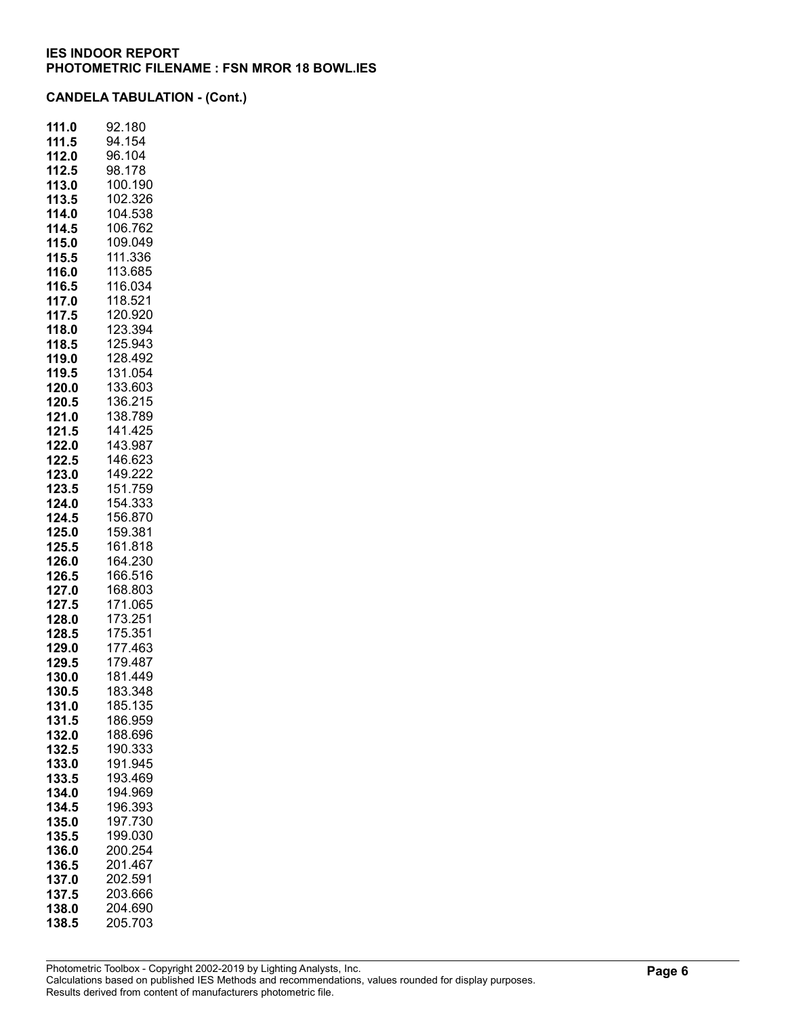| 111.0 | 92.180      |
|-------|-------------|
| 111.5 | 94.154      |
| 112.0 | 96.104      |
| 112.5 | 98.178      |
| 113.0 | 100.190     |
| 113.5 | 102.326     |
| 114.0 | 104.538     |
| 114.5 | 106.762     |
| 115.0 | 109.049     |
| 115.5 | 111.336     |
| 116.0 | 113.685     |
| 116.5 | 116.034     |
| 117.0 | 118.521     |
| 117.5 | 120.920     |
| 118.0 | 123.394     |
| 118.5 | 125.943     |
| 119.0 | 128.492     |
| 119.5 | 131.054     |
| 120.0 | 133.603     |
| 120.5 | 136.215     |
| 121.0 | 138.789     |
| 121.5 | 141.425     |
| 122.0 | 143.987     |
| 122.5 | 146.623     |
| 123.0 | 149.222     |
| 123.5 | 151.759     |
| 124.0 | 154.333     |
| 124.5 | 156.870     |
| 125.0 | 159.381     |
| 125.5 | 161.818     |
| 126.0 | 164.230     |
| 126.5 | 166.516     |
| 127.0 | 168.803     |
| 127.5 | 171.065     |
| 128.0 | 73.251<br>1 |
| 128.5 | 175.351     |
| 129.0 | 177.463     |
| 129.5 | 179.487     |
| 130.0 | 181.449     |
| 130.5 | 183.348     |
| 131.0 | 185.135     |
| 131.5 | 186.959     |
| 132.0 | 188.696     |
| 132.5 | 190.333     |
| 133.0 | 191.945     |
| 133.5 | 193.469     |
| 134.0 | 194.969     |
| 134.5 | 196.393     |
| 135.0 | 197.730     |
| 135.5 | 199.030     |
| 136.0 | 200.254     |
| 136.5 | 201.467     |
| 137.0 | 202.591     |
| 137.5 | 203.666     |
| 138.0 | 204.690     |
| 138.5 | 205.703     |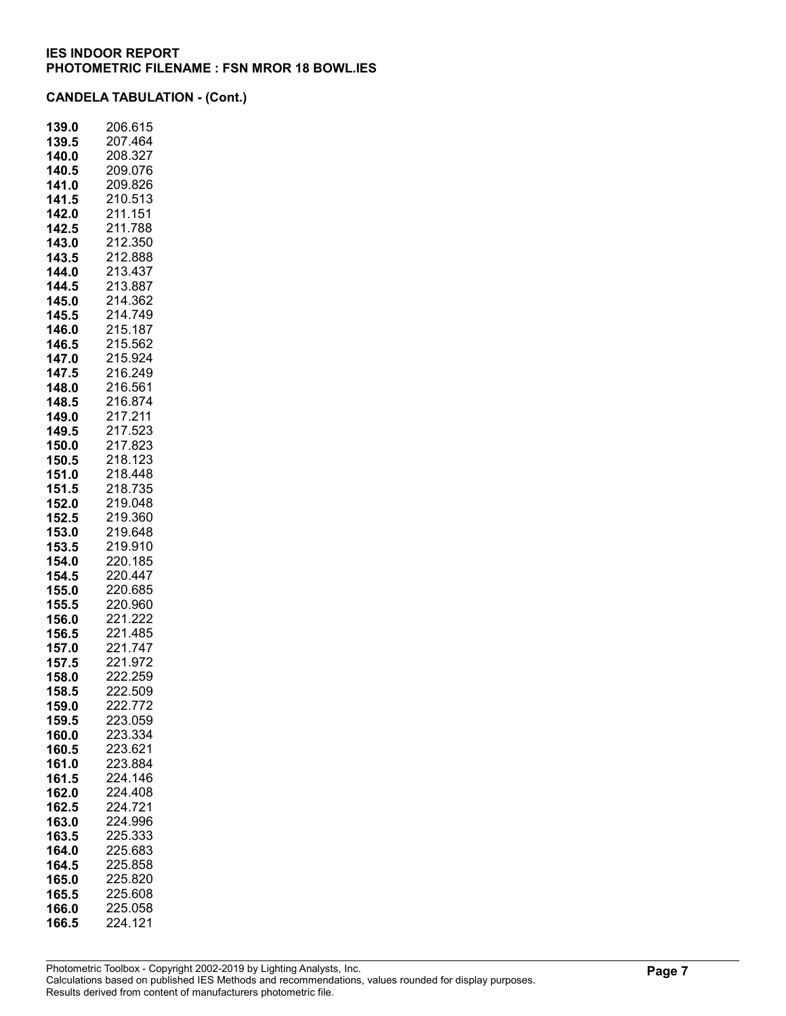| 139.0          | 206.615            |
|----------------|--------------------|
| 139.5          | 207.464            |
| 140.0          | 208.327            |
| 140.5          | 209.076            |
| 141.0          | 209.826            |
| 141.5          | 210.513            |
| 142.0          | 211.151            |
| 142.5          | 211.<br>788        |
| 143.0          | 212.350<br>212.888 |
| 143.5          | 213.437            |
| 144.0<br>144.5 | 213.887            |
| 145.0          | 214.362            |
| 145.5          | 214.749            |
| 146.0          | 215.187            |
| 146.5          | 215.562            |
| 147.0          | 215.924            |
| 147.5          | 216.249            |
| 148.0          | 216.561            |
| 148.5          | 216.874            |
| 149.0          | 217.211            |
| 149.5          | 217.523            |
| 150.0          | 217.823            |
| 150.5          | 218.123            |
| 151.0          | 218.448            |
| 151.5          | 218.735            |
| 152.0          | 219.048            |
| 152.5          | 219.360            |
| 153.0          | 219.648            |
| 153.5          | 219.910            |
| 154.0          | 220.185            |
| 154.5          | 220.447            |
| 155.0<br>155.5 | 220.685<br>220.960 |
| 156.0          | 221.222            |
| 156.5          | 221.485            |
| 157.0          | 221.747            |
| 157.5          | 221.972            |
| 158.0          | 222.259            |
| 158.5          | 222.509            |
| 159.0          | 222.772            |
| 159.5          | 223.059            |
| 160.0          | 223.334            |
| 160.5          | 223.621            |
| 161.0          | 223.884            |
| 161.5          | 224.146            |
| 162.0          | 224.408            |
| 162.5          | 224.721            |
| 163.0          | 224.996            |
| 163.5          | 225.333            |
| 164.0          | 225.683            |
| 164.5          | 225.858            |
| 165.0          | 225.820            |
| 165.5          | 225.608            |
| 166.0          | 225.058            |
| 166.5          | 224.121            |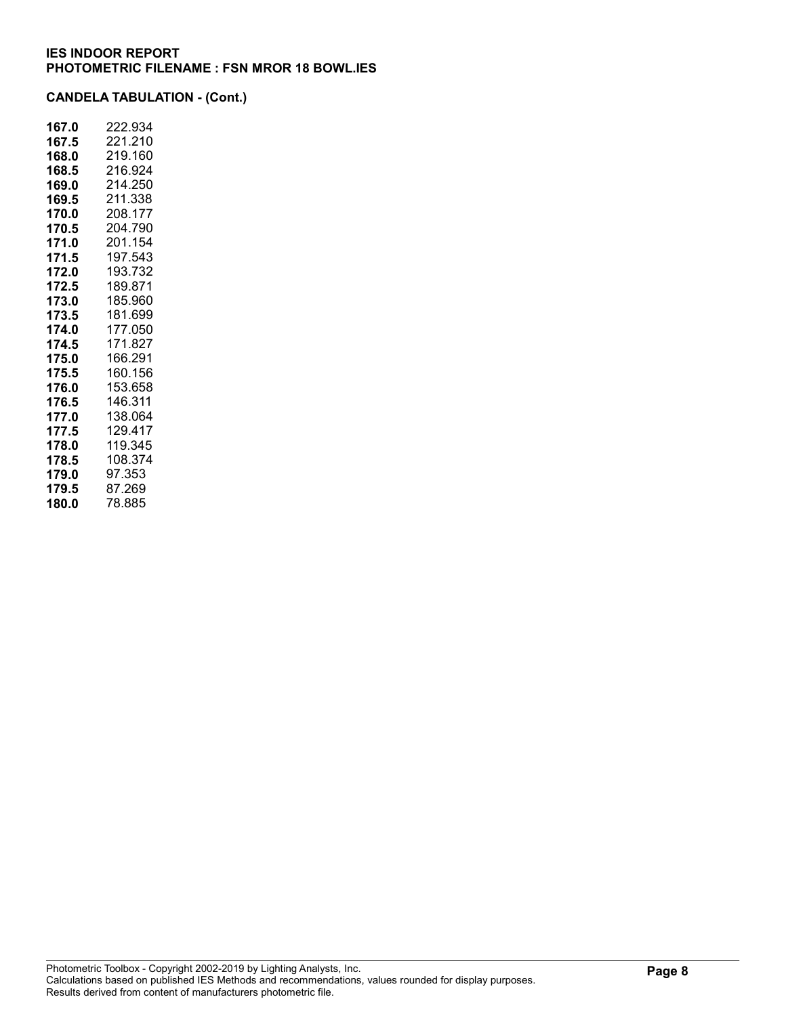| 167.0 | 222.934 |
|-------|---------|
| 167.5 | 221.210 |
| 168.0 | 219.160 |
| 168.5 | 216.924 |
| 169.0 | 214.250 |
| 169.5 | 211.338 |
| 170.0 | 208.177 |
| 170.5 | 204.790 |
| 171.0 | 201.154 |
| 171.5 | 197.543 |
| 172.0 | 193.732 |
| 172.5 | 189.871 |
| 173.0 | 185.960 |
| 173.5 | 181.699 |
| 174.0 | 177.050 |
| 174.5 | 171.827 |
| 175.0 | 166.291 |
| 175.5 | 160.156 |
| 176.0 | 153.658 |
| 176.5 | 146.311 |
| 177.0 | 138.064 |
| 177.5 | 129.417 |
| 178.0 | 119.345 |
| 178.5 | 108.374 |
| 179.0 | 97.353  |
| 179.5 | 87.269  |
| 180.0 | 78.885  |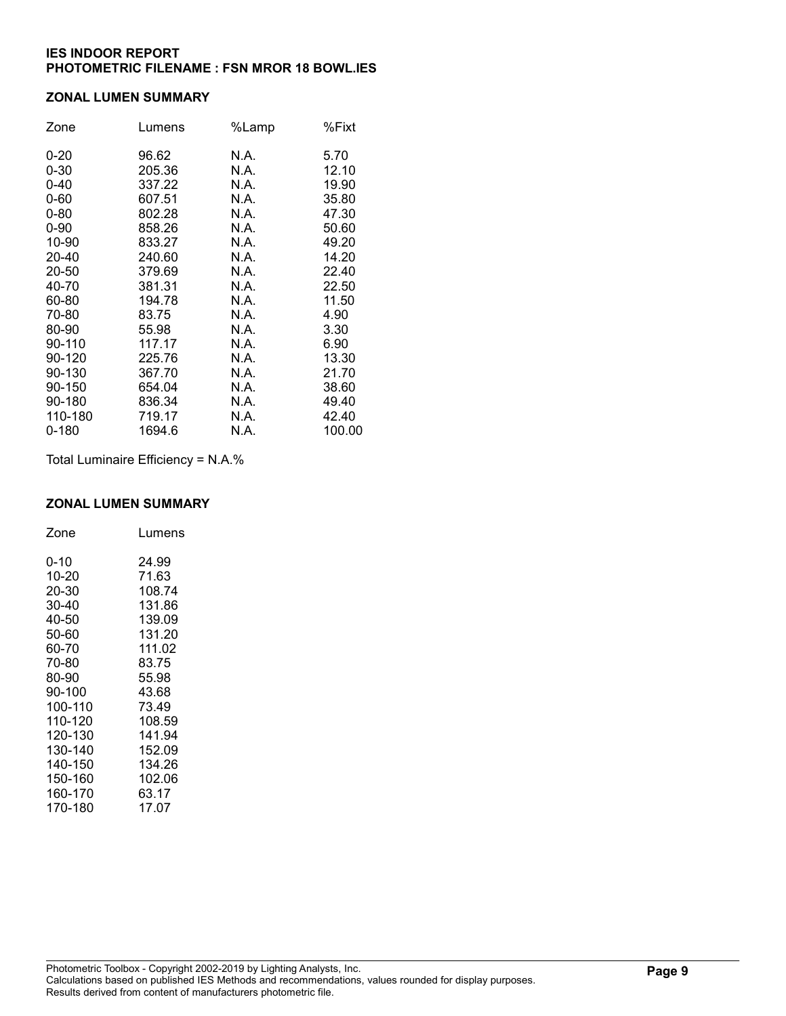#### ZONAL LUMEN SUMMARY

| Zone     | Lumens | %Lamp | %Fixt  |
|----------|--------|-------|--------|
| $0 - 20$ | 96.62  | N.A.  | 5.70   |
| $0 - 30$ | 205.36 | N.A.  | 12.10  |
| $0 - 40$ | 337.22 | N.A.  | 19.90  |
| $0 - 60$ | 607.51 | N.A.  | 35.80  |
| $0 - 80$ | 802.28 | N.A.  | 47.30  |
| $0 - 90$ | 858.26 | N.A.  | 50.60  |
| 10-90    | 833.27 | N.A.  | 49.20  |
| 20-40    | 240.60 | N.A.  | 14.20  |
| 20-50    | 379.69 | N.A.  | 22.40  |
| 40-70    | 381.31 | N.A.  | 22.50  |
| 60-80    | 194.78 | N.A.  | 11.50  |
| 70-80    | 83.75  | N.A.  | 4.90   |
| 80-90    | 55.98  | N.A.  | 3.30   |
| 90-110   | 117.17 | N.A.  | 6.90   |
| 90-120   | 225.76 | N.A.  | 13.30  |
| 90-130   | 367.70 | N.A.  | 21.70  |
| 90-150   | 654.04 | N.A.  | 38.60  |
| 90-180   | 836.34 | N.A.  | 49.40  |
| 110-180  | 719.17 | N.A.  | 42.40  |
| 0-180    | 1694.6 | N.A.  | 100.00 |

Total Luminaire Efficiency = N.A.%

## ZONAL LUMEN SUMMARY

| Zone    | Lumens |
|---------|--------|
| 0-10    | 24.99  |
| 10-20   | 71.63  |
| 20-30   | 108.74 |
| 30-40   | 131.86 |
| 40-50   | 139.09 |
| 50-60   | 131.20 |
| 60-70   | 111.02 |
| 70-80   | 83.75  |
| 80-90   | 55.98  |
| 90-100  | 43.68  |
| 100-110 | 73.49  |
| 110-120 | 108.59 |
| 120-130 | 141.94 |
| 130-140 | 152.09 |
| 140-150 | 134.26 |
| 150-160 | 102.06 |
| 160-170 | 63.17  |
| 170-180 | 17.07  |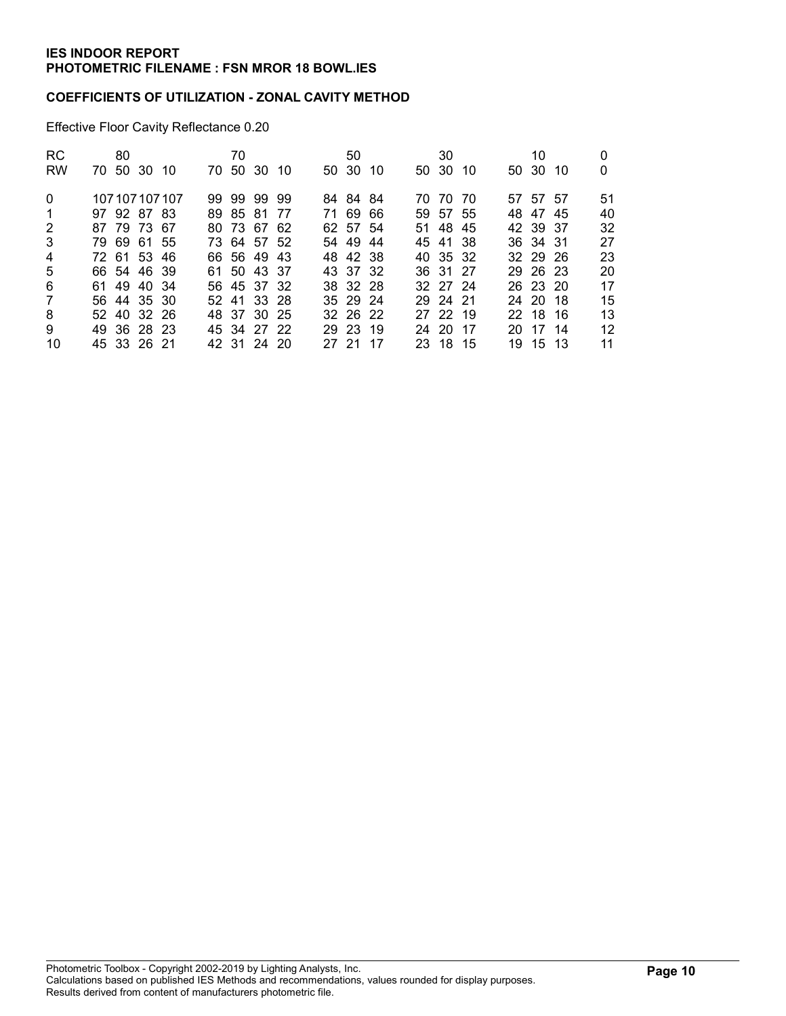### COEFFICIENTS OF UTILIZATION - ZONAL CAVITY METHOD

Effective Floor Cavity Reflectance 0.20

| <b>RC</b>      | 80          |                 | 70 |             |       | 50       |      | 30       |  | 10       |    |
|----------------|-------------|-----------------|----|-------------|-------|----------|------|----------|--|----------|----|
| <b>RW</b>      | 70 50 30 10 |                 |    | 70 50 30 10 |       | 50 30 10 |      | 50 30 10 |  | 50 30 10 | 0  |
| $\Omega$       |             | 107 107 107 107 |    | 99 99 99 99 |       | 84 84 84 |      | 70 70 70 |  | 57 57 57 | 51 |
| -1             | 97 92 87 83 |                 |    | 89 85 81 77 |       | 71 69 66 |      | 59 57 55 |  | 48 47 45 | 40 |
| 2              | 87 79 73 67 |                 |    | 80 73 67 62 |       | 62 57 54 |      | 51 48 45 |  | 42 39 37 | 32 |
| 3              | 79 69 61 55 |                 |    | 73 64 57 52 |       | 54 49 44 |      | 45 41 38 |  | 36 34 31 | 27 |
| $\overline{4}$ | 72 61 53 46 |                 |    | 66 56 49 43 |       | 48 42 38 |      | 40 35 32 |  | 32 29 26 | 23 |
| 5              | 66 54 46 39 |                 |    | 61 50 43 37 |       | 43 37 32 |      | 36 31 27 |  | 29 26 23 | 20 |
| 6              | 61 49 40 34 |                 |    | 56 45 37 32 |       | 38 32 28 |      | 32 27 24 |  | 26 23 20 | 17 |
| 7              | 56 44 35 30 |                 |    | 52 41 33 28 |       | 35 29 24 |      | 29 24 21 |  | 24 20 18 | 15 |
| 8              | 52 40 32 26 |                 |    | 48 37 30 25 |       | 32 26 22 |      | 27 22 19 |  | 22 18 16 | 13 |
| 9              | 49 36 28 23 |                 |    | 45 34 27 22 |       | 29 23 19 |      | 24 20 17 |  | 20 17 14 | 12 |
| 10             | 45 33 26 21 |                 |    | 42 31 24 20 | 27 21 |          | - 17 | 23 18 15 |  | 19 15 13 | 11 |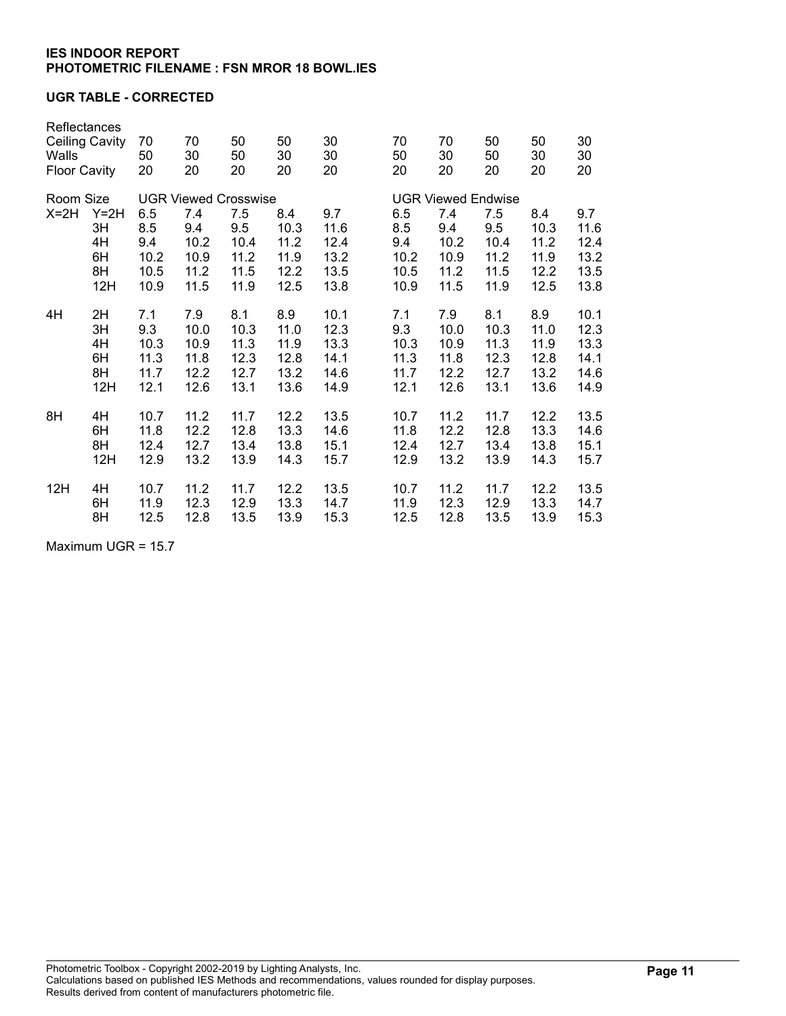### UGR TABLE - CORRECTED

| Reflectances<br><b>Ceiling Cavity</b><br>Walls<br><b>Floor Cavity</b> |                                       | 70<br>50<br>20                            | 70<br>30<br>20                                                            | 50<br>50<br>20                             | 50<br>30<br>20                              | 30<br>30<br>20                              | 70<br>50<br>20                            | 70<br>30<br>20                             | 50<br>50<br>20                                                          | 50<br>30<br>20                              | 30<br>30<br>20                              |
|-----------------------------------------------------------------------|---------------------------------------|-------------------------------------------|---------------------------------------------------------------------------|--------------------------------------------|---------------------------------------------|---------------------------------------------|-------------------------------------------|--------------------------------------------|-------------------------------------------------------------------------|---------------------------------------------|---------------------------------------------|
| Room Size<br>$X=2H$                                                   | $Y=2H$<br>3H<br>4H<br>6H<br>8H<br>12H | 6.5<br>8.5<br>9.4<br>10.2<br>10.5<br>10.9 | <b>UGR Viewed Crosswise</b><br>7.4<br>9.4<br>10.2<br>10.9<br>11.2<br>11.5 | 7.5<br>9.5<br>10.4<br>11.2<br>11.5<br>11.9 | 8.4<br>10.3<br>11.2<br>11.9<br>12.2<br>12.5 | 9.7<br>11.6<br>12.4<br>13.2<br>13.5<br>13.8 | 6.5<br>8.5<br>9.4<br>10.2<br>10.5<br>10.9 | 7.4<br>9.4<br>10.2<br>10.9<br>11.2<br>11.5 | <b>UGR Viewed Endwise</b><br>7.5<br>9.5<br>10.4<br>11.2<br>11.5<br>11.9 | 8.4<br>10.3<br>11.2<br>11.9<br>12.2<br>12.5 | 9.7<br>11.6<br>12.4<br>13.2<br>13.5<br>13.8 |
| 4H                                                                    | 2H                                    | 7.1                                       | 7.9                                                                       | 8.1                                        | 8.9                                         | 10.1                                        | 7.1                                       | 7.9                                        | 8.1                                                                     | 8.9                                         | 10.1                                        |
|                                                                       | 3H                                    | 9.3                                       | 10.0                                                                      | 10.3                                       | 11.0                                        | 12.3                                        | 9.3                                       | 10.0                                       | 10.3                                                                    | 11.0                                        | 12.3                                        |
|                                                                       | 4H                                    | 10.3                                      | 10.9                                                                      | 11.3                                       | 11.9                                        | 13.3                                        | 10.3                                      | 10.9                                       | 11.3                                                                    | 11.9                                        | 13.3                                        |
|                                                                       | 6H                                    | 11.3                                      | 11.8                                                                      | 12.3                                       | 12.8                                        | 14.1                                        | 11.3                                      | 11.8                                       | 12.3                                                                    | 12.8                                        | 14.1                                        |
|                                                                       | 8H                                    | 11.7                                      | 12.2                                                                      | 12.7                                       | 13.2                                        | 14.6                                        | 11.7                                      | 12.2                                       | 12.7                                                                    | 13.2                                        | 14.6                                        |
|                                                                       | 12H                                   | 12.1                                      | 12.6                                                                      | 13.1                                       | 13.6                                        | 14.9                                        | 12.1                                      | 12.6                                       | 13.1                                                                    | 13.6                                        | 14.9                                        |
| 8H                                                                    | 4H                                    | 10.7                                      | 11.2                                                                      | 11.7                                       | 12.2                                        | 13.5                                        | 10.7                                      | 11.2                                       | 11.7                                                                    | 12.2                                        | 13.5                                        |
|                                                                       | 6H                                    | 11.8                                      | 12.2                                                                      | 12.8                                       | 13.3                                        | 14.6                                        | 11.8                                      | 12.2                                       | 12.8                                                                    | 13.3                                        | 14.6                                        |
|                                                                       | 8H                                    | 12.4                                      | 12.7                                                                      | 13.4                                       | 13.8                                        | 15.1                                        | 12.4                                      | 12.7                                       | 13.4                                                                    | 13.8                                        | 15.1                                        |
|                                                                       | 12H                                   | 12.9                                      | 13.2                                                                      | 13.9                                       | 14.3                                        | 15.7                                        | 12.9                                      | 13.2                                       | 13.9                                                                    | 14.3                                        | 15.7                                        |
| 12H                                                                   | 4H                                    | 10.7                                      | 11.2                                                                      | 11.7                                       | 12.2                                        | 13.5                                        | 10.7                                      | 11.2                                       | 11.7                                                                    | 12.2                                        | 13.5                                        |
|                                                                       | 6H                                    | 11.9                                      | 12.3                                                                      | 12.9                                       | 13.3                                        | 14.7                                        | 11.9                                      | 12.3                                       | 12.9                                                                    | 13.3                                        | 14.7                                        |
|                                                                       | 8H                                    | 12.5                                      | 12.8                                                                      | 13.5                                       | 13.9                                        | 15.3                                        | 12.5                                      | 12.8                                       | 13.5                                                                    | 13.9                                        | 15.3                                        |

Maximum UGR = 15.7